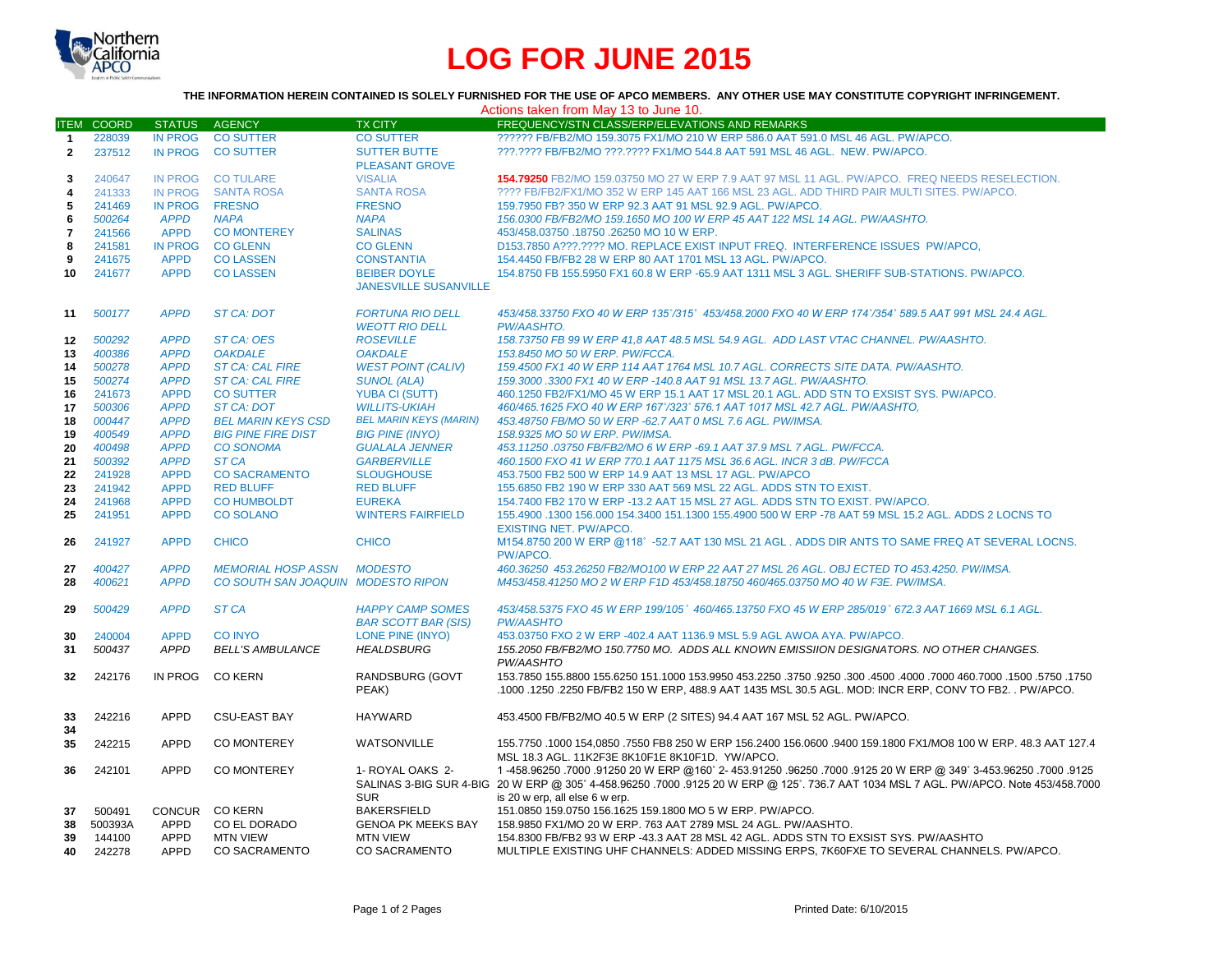

# **LOG FOR JUNE 2015**

#### **THE INFORMATION HEREIN CONTAINED IS SOLELY FURNISHED FOR THE USE OF APCO MEMBERS. ANY OTHER USE MAY CONSTITUTE COPYRIGHT INFRINGEMENT.**

| Actions taken from May 13 to June 10. |                   |                |                                    |                                                       |                                                                                                                                                                                                                                                                             |  |  |  |
|---------------------------------------|-------------------|----------------|------------------------------------|-------------------------------------------------------|-----------------------------------------------------------------------------------------------------------------------------------------------------------------------------------------------------------------------------------------------------------------------------|--|--|--|
|                                       | <b>ITEM COORD</b> | <b>STATUS</b>  | AGENCY                             | <b>TX CITY</b>                                        | FREQUENCY/STN CLASS/ERP/ELEVATIONS AND REMARKS                                                                                                                                                                                                                              |  |  |  |
| $\mathbf{1}$                          | 228039            | <b>IN PROG</b> | <b>CO SUTTER</b>                   | <b>CO SUTTER</b>                                      | ?????? FB/FB2/MO 159.3075 FX1/MO 210 W ERP 586.0 AAT 591.0 MSL 46 AGL, PW/APCO.                                                                                                                                                                                             |  |  |  |
| $\overline{2}$                        | 237512            | <b>IN PROG</b> | <b>CO SUTTER</b>                   | <b>SUTTER BUTTE</b><br><b>PLEASANT GROVE</b>          | ???.???? FB/FB2/MO ???.???? FX1/MO 544.8 AAT 591 MSL 46 AGL. NEW. PW/APCO.                                                                                                                                                                                                  |  |  |  |
| 3                                     | 240647            | IN PROG        | <b>CO TULARE</b>                   | <b>VISALIA</b>                                        | 154.79250 FB2/MO 159.03750 MO 27 W ERP 7.9 AAT 97 MSL 11 AGL. PW/APCO. FREQ NEEDS RESELECTION.                                                                                                                                                                              |  |  |  |
| 4                                     | 241333            | <b>IN PROG</b> | <b>SANTA ROSA</b>                  | <b>SANTA ROSA</b>                                     | ???? FB/FB2/FX1/MO 352 W ERP 145 AAT 166 MSL 23 AGL. ADD THIRD PAIR MULTI SITES. PW/APCO.                                                                                                                                                                                   |  |  |  |
| 5                                     | 241469            | IN PROG FRESNO |                                    | <b>FRESNO</b>                                         | 159.7950 FB? 350 W ERP 92.3 AAT 91 MSL 92.9 AGL. PW/APCO.                                                                                                                                                                                                                   |  |  |  |
| 6                                     | 500264            | <b>APPD</b>    | <b>NAPA</b>                        | <b>NAPA</b>                                           | 156.0300 FB/FB2/MO 159.1650 MO 100 W ERP 45 AAT 122 MSL 14 AGL. PW/AASHTO.                                                                                                                                                                                                  |  |  |  |
| $\overline{\mathbf{r}}$               | 241566            | <b>APPD</b>    | <b>CO MONTEREY</b>                 | <b>SALINAS</b>                                        | 453/458.03750 .18750 .26250 MO 10 W ERP.                                                                                                                                                                                                                                    |  |  |  |
| 8                                     | 241581            | <b>IN PROG</b> | <b>CO GLENN</b>                    | <b>CO GLENN</b>                                       | D153.7850 A???.???? MO. REPLACE EXIST INPUT FREQ. INTERFERENCE ISSUES PW/APCO.                                                                                                                                                                                              |  |  |  |
| 9                                     | 241675            | <b>APPD</b>    | <b>CO LASSEN</b>                   | <b>CONSTANTIA</b>                                     | 154.4450 FB/FB2 28 W ERP 80 AAT 1701 MSL 13 AGL. PW/APCO.                                                                                                                                                                                                                   |  |  |  |
| 10                                    | 241677            | <b>APPD</b>    | <b>CO LASSEN</b>                   | <b>BEIBER DOYLE</b><br><b>JANESVILLE SUSANVILLE</b>   | 154.8750 FB 155.5950 FX1 60.8 W ERP -65.9 AAT 1311 MSL 3 AGL. SHERIFF SUB-STATIONS. PW/APCO.                                                                                                                                                                                |  |  |  |
| 11                                    | 500177            | <b>APPD</b>    | <b>ST CA: DOT</b>                  | <b>FORTUNA RIO DELL</b><br><b>WEOTT RIO DELL</b>      | 453/458.33750 FXO 40 W ERP 135°/315° 453/458.2000 FXO 40 W ERP 174°/354° 589.5 AAT 991 MSL 24.4 AGL.<br>PW/AASHTO.                                                                                                                                                          |  |  |  |
| 12                                    | 500292            | <b>APPD</b>    | ST CA: OES                         | <b>ROSEVILLE</b>                                      | 158.73750 FB 99 W ERP 41,8 AAT 48.5 MSL 54.9 AGL. ADD LAST VTAC CHANNEL. PW/AASHTO.                                                                                                                                                                                         |  |  |  |
| 13                                    | 400386            | <b>APPD</b>    | <b>OAKDALE</b>                     | <b>OAKDALE</b>                                        | 153.8450 MO 50 W ERP. PW/FCCA.                                                                                                                                                                                                                                              |  |  |  |
| 14                                    | 500278            | <b>APPD</b>    | <b>ST CA: CAL FIRE</b>             | <b>WEST POINT (CALIV)</b>                             | 159.4500 FX1 40 W ERP 114 AAT 1764 MSL 10.7 AGL. CORRECTS SITE DATA. PW/AASHTO.                                                                                                                                                                                             |  |  |  |
| 15                                    | 500274            | <b>APPD</b>    | <b>ST CA: CAL FIRE</b>             | <b>SUNOL (ALA)</b>                                    | 159.3000.3300 FX1 40 W ERP -140.8 AAT 91 MSL 13.7 AGL. PW/AASHTO.                                                                                                                                                                                                           |  |  |  |
| 16                                    | 241673            | <b>APPD</b>    | <b>CO SUTTER</b>                   | <b>YUBA CI (SUTT)</b>                                 | 460.1250 FB2/FX1/MO 45 W ERP 15.1 AAT 17 MSL 20.1 AGL. ADD STN TO EXSIST SYS. PW/APCO.                                                                                                                                                                                      |  |  |  |
| 17                                    | 500306            | <b>APPD</b>    | <b>ST CA: DOT</b>                  | <b>WILLITS-UKIAH</b>                                  | 460/465.1625 FXO 40 W ERP 167°/323° 576.1 AAT 1017 MSL 42.7 AGL. PW/AASHTO,                                                                                                                                                                                                 |  |  |  |
| 18                                    | 000447            | <b>APPD</b>    | <b>BEL MARIN KEYS CSD</b>          | <b>BEL MARIN KEYS (MARIN)</b>                         | 453.48750 FB/MO 50 W ERP -62.7 AAT 0 MSL 7.6 AGL. PW/IMSA.                                                                                                                                                                                                                  |  |  |  |
| 19                                    | 400549            | <b>APPD</b>    | <b>BIG PINE FIRE DIST</b>          | <b>BIG PINE (INYO)</b>                                | 158.9325 MO 50 W ERP. PW/IMSA.                                                                                                                                                                                                                                              |  |  |  |
| 20                                    | 400498            | <b>APPD</b>    | <b>CO SONOMA</b>                   | <b>GUALALA JENNER</b>                                 | 453.11250.03750 FB/FB2/MO 6 W ERP -69.1 AAT 37.9 MSL 7 AGL. PW/FCCA.                                                                                                                                                                                                        |  |  |  |
| 21                                    | 500392            | <b>APPD</b>    | ST <sub>CA</sub>                   | <b>GARBERVILLE</b>                                    | 460.1500 FXO 41 W ERP 770.1 AAT 1175 MSL 36.6 AGL. INCR 3 dB. PW/FCCA                                                                                                                                                                                                       |  |  |  |
| 22                                    | 241928            | <b>APPD</b>    | <b>CO SACRAMENTO</b>               | <b>SLOUGHOUSE</b>                                     | 453.7500 FB2 500 W ERP 14.9 AAT 13 MSL 17 AGL. PW/APCO                                                                                                                                                                                                                      |  |  |  |
| 23                                    | 241942            | <b>APPD</b>    | <b>RED BLUFF</b>                   | <b>RED BLUFF</b>                                      | 155,6850 FB2 190 W ERP 330 AAT 569 MSL 22 AGL, ADDS STN TO EXIST.                                                                                                                                                                                                           |  |  |  |
| 24                                    | 241968            | <b>APPD</b>    | <b>CO HUMBOLDT</b>                 | <b>EUREKA</b>                                         | 154.7400 FB2 170 W ERP -13.2 AAT 15 MSL 27 AGL. ADDS STN TO EXIST. PW/APCO.                                                                                                                                                                                                 |  |  |  |
| 25                                    | 241951            | <b>APPD</b>    | <b>CO SOLANO</b>                   | <b>WINTERS FAIRFIELD</b>                              | 155.4900 .1300 156.000 154.3400 151.1300 155.4900 500 W ERP -78 AAT 59 MSL 15.2 AGL. ADDS 2 LOCNS TO<br><b>EXISTING NET. PW/APCO.</b>                                                                                                                                       |  |  |  |
| 26                                    | 241927            | <b>APPD</b>    | <b>CHICO</b>                       | <b>CHICO</b>                                          | M154.8750 200 W ERP @118°-52.7 AAT 130 MSL 21 AGL, ADDS DIR ANTS TO SAME FREQ AT SEVERAL LOCNS.<br>PW/APCO.                                                                                                                                                                 |  |  |  |
| 27                                    | 400427            | <b>APPD</b>    | <b>MEMORIAL HOSP ASSN</b>          | <b>MODESTO</b>                                        | 460.36250 453.26250 FB2/MO100 W ERP 22 AAT 27 MSL 26 AGL. OBJ ECTED TO 453.4250. PW/IMSA.                                                                                                                                                                                   |  |  |  |
| 28                                    | 400621            | <b>APPD</b>    | CO SOUTH SAN JOAQUIN MODESTO RIPON |                                                       | M453/458.41250 MO 2 W ERP F1D 453/458.18750 460/465.03750 MO 40 W F3E. PW/IMSA.                                                                                                                                                                                             |  |  |  |
| 29                                    | 500429            | <b>APPD</b>    | ST <sub>CA</sub>                   | <b>HAPPY CAMP SOMES</b><br><b>BAR SCOTT BAR (SIS)</b> | 453/458.5375 FXO 45 W ERP 199/105° 460/465.13750 FXO 45 W ERP 285/019° 672.3 AAT 1669 MSL 6.1 AGL.<br><b>PW/AASHTO</b>                                                                                                                                                      |  |  |  |
| 30                                    | 240004            | <b>APPD</b>    | <b>CO INYO</b>                     | LONE PINE (INYO)                                      | 453.03750 FXO 2 W ERP -402.4 AAT 1136.9 MSL 5.9 AGL AWOA AYA. PW/APCO.                                                                                                                                                                                                      |  |  |  |
| 31                                    | 500437            | <b>APPD</b>    | <b>BELL'S AMBULANCE</b>            | <b>HEALDSBURG</b>                                     | 155.2050 FB/FB2/MO 150.7750 MO. ADDS ALL KNOWN EMISSIION DESIGNATORS. NO OTHER CHANGES.<br>PW/AASHTO                                                                                                                                                                        |  |  |  |
| 32 <sub>2</sub>                       | 242176            | <b>IN PROG</b> | <b>CO KERN</b>                     | RANDSBURG (GOVT<br>PEAK)                              | 1750, 1750. 1600, 1700 160.7000 1000 1000 160.000 153.9950 1750. 1750 153.9950 163.9950 163.7850 155.8800 155.6250<br>.1000 .1250 .2250 FB/FB2 150 W ERP, 488.9 AAT 1435 MSL 30.5 AGL. MOD: INCR ERP, CONV TO FB2. . PW/APCO.                                               |  |  |  |
| 33<br>34                              | 242216            | <b>APPD</b>    | <b>CSU-EAST BAY</b>                | <b>HAYWARD</b>                                        | 453.4500 FB/FB2/MO 40.5 W ERP (2 SITES) 94.4 AAT 167 MSL 52 AGL. PW/APCO.                                                                                                                                                                                                   |  |  |  |
| 35                                    | 242215            | <b>APPD</b>    | <b>CO MONTEREY</b>                 | <b>WATSONVILLE</b>                                    | 155.7750 .1000 154.0850 .7550 FB8 250 W ERP 156.2400 156.0600 .9400 159.1800 FX1/MO8 100 W ERP. 48.3 AAT 127.4<br>MSL 18.3 AGL. 11K2F3E 8K10F1E 8K10F1D. YW/APCO.                                                                                                           |  |  |  |
| 36                                    | 242101            | <b>APPD</b>    | <b>CO MONTEREY</b>                 | 1- ROYAL OAKS 2-<br><b>SUR</b>                        | 125 (.007. 56250 349° 3453.96250 96250. 96250. 96250 96250. 56250 36250. 1-458.96250 97000. 9125<br>SALINAS 3-BIG SUR 4-BIG 20 W ERP @ 305° 4-458.96250 .7000 .9125 20 W ERP @ 125°. 736.7 AAT 1034 MSL 7 AGL. PW/APCO. Note 453/458.7000<br>is 20 w erp, all else 6 w erp. |  |  |  |
| 37                                    | 500491            | <b>CONCUR</b>  | <b>CO KERN</b>                     | <b>BAKERSFIELD</b>                                    | 151.0850 159.0750 156.1625 159.1800 MO 5 W ERP. PW/APCO.                                                                                                                                                                                                                    |  |  |  |
| 38                                    | 500393A           | APPD           | CO EL DORADO                       | <b>GENOA PK MEEKS BAY</b>                             | 158.9850 FX1/MO 20 W ERP. 763 AAT 2789 MSL 24 AGL. PW/AASHTO.                                                                                                                                                                                                               |  |  |  |
| 39                                    | 144100            | <b>APPD</b>    | <b>MTN VIEW</b>                    | <b>MTN VIEW</b>                                       | 154.8300 FB/FB2 93 W ERP -43.3 AAT 28 MSL 42 AGL. ADDS STN TO EXSIST SYS. PW/AASHTO                                                                                                                                                                                         |  |  |  |
| 40                                    | 242278            | <b>APPD</b>    | <b>CO SACRAMENTO</b>               | <b>CO SACRAMENTO</b>                                  | MULTIPLE EXISTING UHF CHANNELS: ADDED MISSING ERPS, 7K60FXE TO SEVERAL CHANNELS, PW/APCO.                                                                                                                                                                                   |  |  |  |